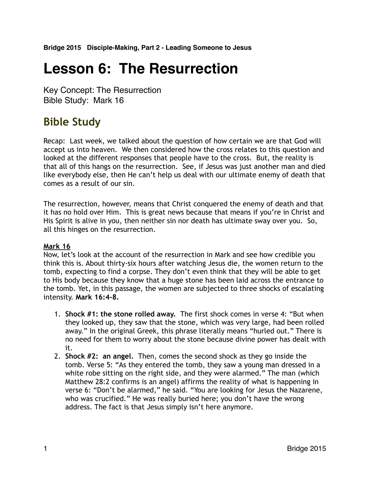# **Lesson 6: The Resurrection**

Key Concept: The Resurrection Bible Study: Mark 16

# **Bible Study**

Recap: Last week, we talked about the question of how certain we are that God will accept us into heaven. We then considered how the cross relates to this question and looked at the different responses that people have to the cross. But, the reality is that all of this hangs on the resurrection. See, if Jesus was just another man and died like everybody else, then He can't help us deal with our ultimate enemy of death that comes as a result of our sin.

The resurrection, however, means that Christ conquered the enemy of death and that it has no hold over Him. This is great news because that means if you're in Christ and His Spirit is alive in you, then neither sin nor death has ultimate sway over you. So, all this hinges on the resurrection.

## **Mark 16**

Now, let's look at the account of the resurrection in Mark and see how credible you think this is. About thirty-six hours after watching Jesus die, the women return to the tomb, expecting to find a corpse. They don't even think that they will be able to get to His body because they know that a huge stone has been laid across the entrance to the tomb. Yet, in this passage, the women are subjected to three shocks of escalating intensity. **Mark 16:4-8.**

- 1. **Shock #1: the stone rolled away.** The first shock comes in verse 4: "But when they looked up, they saw that the stone, which was very large, had been rolled away." In the original Greek, this phrase literally means "hurled out." There is no need for them to worry about the stone because divine power has dealt with it.
- 2. **Shock #2: an angel.** Then, comes the second shock as they go inside the tomb. Verse 5: "As they entered the tomb, they saw a young man dressed in a white robe sitting on the right side, and they were alarmed." The man (which Matthew 28:2 confirms is an angel) affirms the reality of what is happening in verse 6: "Don't be alarmed," he said. "You are looking for Jesus the Nazarene, who was crucified." He was really buried here; you don't have the wrong address. The fact is that Jesus simply isn't here anymore.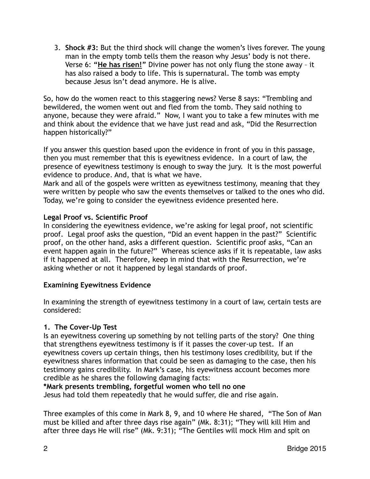3. **Shock #3:** But the third shock will change the women's lives forever. The young man in the empty tomb tells them the reason why Jesus' body is not there. Verse 6: **"He has risen!"** Divine power has not only flung the stone away – it has also raised a body to life. This is supernatural. The tomb was empty because Jesus isn't dead anymore. He is alive.

So, how do the women react to this staggering news? Verse 8 says: "Trembling and bewildered, the women went out and fled from the tomb. They said nothing to anyone, because they were afraid." Now, I want you to take a few minutes with me and think about the evidence that we have just read and ask, "Did the Resurrection happen historically?"

If you answer this question based upon the evidence in front of you in this passage, then you must remember that this is eyewitness evidence. In a court of law, the presence of eyewitness testimony is enough to sway the jury. It is the most powerful evidence to produce. And, that is what we have.

Mark and all of the gospels were written as eyewitness testimony, meaning that they were written by people who saw the events themselves or talked to the ones who did. Today, we're going to consider the eyewitness evidence presented here.

# **Legal Proof vs. Scientific Proof**

In considering the eyewitness evidence, we're asking for legal proof, not scientific proof. Legal proof asks the question, "Did an event happen in the past?" Scientific proof, on the other hand, asks a different question. Scientific proof asks, "Can an event happen again in the future?" Whereas science asks if it is repeatable, law asks if it happened at all. Therefore, keep in mind that with the Resurrection, we're asking whether or not it happened by legal standards of proof.

## **Examining Eyewitness Evidence**

In examining the strength of eyewitness testimony in a court of law, certain tests are considered:

# **1. The Cover-Up Test**

Is an eyewitness covering up something by not telling parts of the story? One thing that strengthens eyewitness testimony is if it passes the cover-up test. If an eyewitness covers up certain things, then his testimony loses credibility, but if the eyewitness shares information that could be seen as damaging to the case, then his testimony gains credibility. In Mark's case, his eyewitness account becomes more credible as he shares the following damaging facts:

# **\*Mark presents trembling, forgetful women who tell no one**

Jesus had told them repeatedly that he would suffer, die and rise again.

Three examples of this come in Mark 8, 9, and 10 where He shared, "The Son of Man must be killed and after three days rise again" (Mk. 8:31); "They will kill Him and after three days He will rise" (Mk. 9:31); "The Gentiles will mock Him and spit on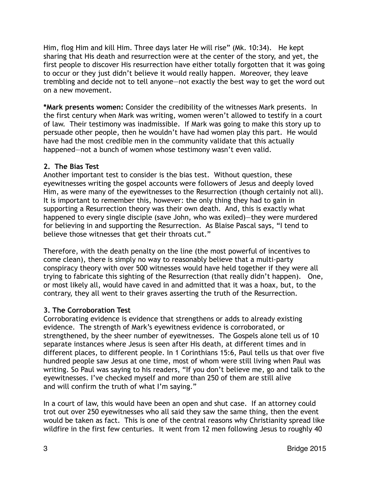Him, flog Him and kill Him. Three days later He will rise" (Mk. 10:34). He kept sharing that His death and resurrection were at the center of the story, and yet, the first people to discover His resurrection have either totally forgotten that it was going to occur or they just didn't believe it would really happen. Moreover, they leave trembling and decide not to tell anyone—not exactly the best way to get the word out on a new movement.

**\*Mark presents women:** Consider the credibility of the witnesses Mark presents. In the first century when Mark was writing, women weren't allowed to testify in a court of law. Their testimony was inadmissible. If Mark was going to make this story up to persuade other people, then he wouldn't have had women play this part. He would have had the most credible men in the community validate that this actually happened—not a bunch of women whose testimony wasn't even valid.

## **2. The Bias Test**

Another important test to consider is the bias test. Without question, these eyewitnesses writing the gospel accounts were followers of Jesus and deeply loved Him, as were many of the eyewitnesses to the Resurrection (though certainly not all). It is important to remember this, however: the only thing they had to gain in supporting a Resurrection theory was their own death. And, this is exactly what happened to every single disciple (save John, who was exiled)—they were murdered for believing in and supporting the Resurrection. As Blaise Pascal says, "I tend to believe those witnesses that get their throats cut."

Therefore, with the death penalty on the line (the most powerful of incentives to come clean), there is simply no way to reasonably believe that a multi-party conspiracy theory with over 500 witnesses would have held together if they were all trying to fabricate this sighting of the Resurrection (that really didn't happen). One, or most likely all, would have caved in and admitted that it was a hoax, but, to the contrary, they all went to their graves asserting the truth of the Resurrection.

## **3. The Corroboration Test**

Corroborating evidence is evidence that strengthens or adds to already existing evidence. The strength of Mark's eyewitness evidence is corroborated, or strengthened, by the sheer number of eyewitnesses. The Gospels alone tell us of 10 separate instances where Jesus is seen after His death, at different times and in different places, to different people. In 1 Corinthians 15:6, Paul tells us that over five hundred people saw Jesus at one time, most of whom were still living when Paul was writing. So Paul was saying to his readers, "If you don't believe me, go and talk to the eyewitnesses. I've checked myself and more than 250 of them are still alive and will confirm the truth of what I'm saying."

In a court of law, this would have been an open and shut case. If an attorney could trot out over 250 eyewitnesses who all said they saw the same thing, then the event would be taken as fact. This is one of the central reasons why Christianity spread like wildfire in the first few centuries. It went from 12 men following Jesus to roughly 40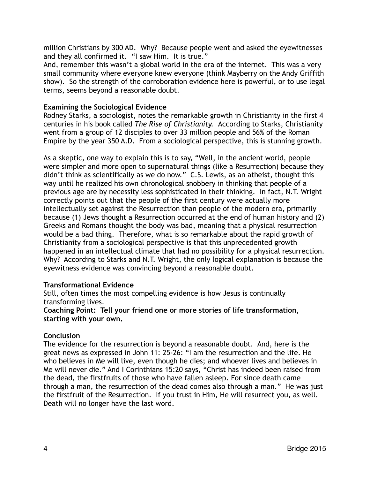million Christians by 300 AD. Why? Because people went and asked the eyewitnesses and they all confirmed it. "I saw Him. It is true."

And, remember this wasn't a global world in the era of the internet. This was a very small community where everyone knew everyone (think Mayberry on the Andy Griffith show). So the strength of the corroboration evidence here is powerful, or to use legal terms, seems beyond a reasonable doubt.

#### **Examining the Sociological Evidence**

Rodney Starks, a sociologist, notes the remarkable growth in Christianity in the first 4 centuries in his book called *The Rise of Christianity.* According to Starks, Christianity went from a group of 12 disciples to over 33 million people and 56% of the Roman Empire by the year 350 A.D. From a sociological perspective, this is stunning growth.

As a skeptic, one way to explain this is to say, "Well, in the ancient world, people were simpler and more open to supernatural things (like a Resurrection) because they didn't think as scientifically as we do now." C.S. Lewis, as an atheist, thought this way until he realized his own chronological snobbery in thinking that people of a previous age are by necessity less sophisticated in their thinking. In fact, N.T. Wright correctly points out that the people of the first century were actually more intellectually set against the Resurrection than people of the modern era, primarily because (1) Jews thought a Resurrection occurred at the end of human history and (2) Greeks and Romans thought the body was bad, meaning that a physical resurrection would be a bad thing. Therefore, what is so remarkable about the rapid growth of Christianity from a sociological perspective is that this unprecedented growth happened in an intellectual climate that had no possibility for a physical resurrection. Why? According to Starks and N.T. Wright, the only logical explanation is because the eyewitness evidence was convincing beyond a reasonable doubt.

#### **Transformational Evidence**

Still, often times the most compelling evidence is how Jesus is continually transforming lives.

#### **Coaching Point: Tell your friend one or more stories of life transformation, starting with your own.**

#### **Conclusion**

The evidence for the resurrection is beyond a reasonable doubt. And, here is the great news as expressed in John 11: 25-26: "I am the resurrection and the life. He who believes in Me will live, even though he dies; and whoever lives and believes in Me will never die." And I Corinthians 15:20 says, "Christ has indeed been raised from the dead, the firstfruits of those who have fallen asleep. For since death came through a man, the resurrection of the dead comes also through a man." He was just the firstfruit of the Resurrection. If you trust in Him, He will resurrect you, as well. Death will no longer have the last word.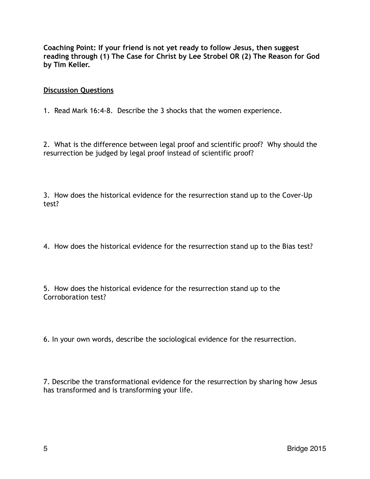**Coaching Point: If your friend is not yet ready to follow Jesus, then suggest reading through (1) The Case for Christ by Lee Strobel OR (2) The Reason for God by Tim Keller.** 

#### **Discussion Questions**

1. Read Mark 16:4-8. Describe the 3 shocks that the women experience.

2. What is the difference between legal proof and scientific proof? Why should the resurrection be judged by legal proof instead of scientific proof?

3. How does the historical evidence for the resurrection stand up to the Cover-Up test?

4. How does the historical evidence for the resurrection stand up to the Bias test?

5. How does the historical evidence for the resurrection stand up to the Corroboration test?

6. In your own words, describe the sociological evidence for the resurrection.

7. Describe the transformational evidence for the resurrection by sharing how Jesus has transformed and is transforming your life.